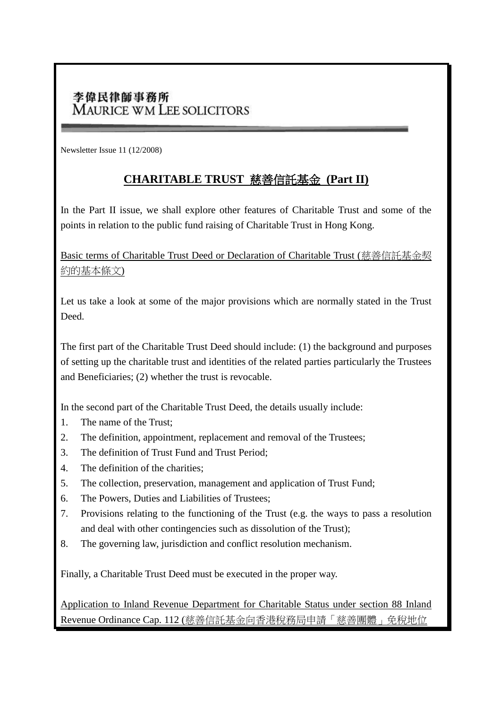## 李偉民律師事務所 **MAURICE WM LEE SOLICITORS**

Newsletter Issue 11 (12/2008)

## **CHARITABLE TRUST** 慈善信託基金 **(Part II)**

In the Part II issue, we shall explore other features of Charitable Trust and some of the points in relation to the public fund raising of Charitable Trust in Hong Kong.

Basic terms of Charitable Trust Deed or Declaration of Charitable Trust (慈善信託基金契 約的基本條文)

Let us take a look at some of the major provisions which are normally stated in the Trust Deed.

The first part of the Charitable Trust Deed should include: (1) the background and purposes of setting up the charitable trust and identities of the related parties particularly the Trustees and Beneficiaries; (2) whether the trust is revocable.

In the second part of the Charitable Trust Deed, the details usually include:

- 1. The name of the Trust;
- 2. The definition, appointment, replacement and removal of the Trustees;
- 3. The definition of Trust Fund and Trust Period;
- 4. The definition of the charities;
- 5. The collection, preservation, management and application of Trust Fund;
- 6. The Powers, Duties and Liabilities of Trustees;
- 7. Provisions relating to the functioning of the Trust (e.g. the ways to pass a resolution and deal with other contingencies such as dissolution of the Trust);
- 8. The governing law, jurisdiction and conflict resolution mechanism.

Finally, a Charitable Trust Deed must be executed in the proper way.

Application to Inland Revenue Department for Charitable Status under section 88 Inland Revenue Ordinance Cap. 112 (慈善信託基金向香港稅務局申請「慈善團體」免稅地位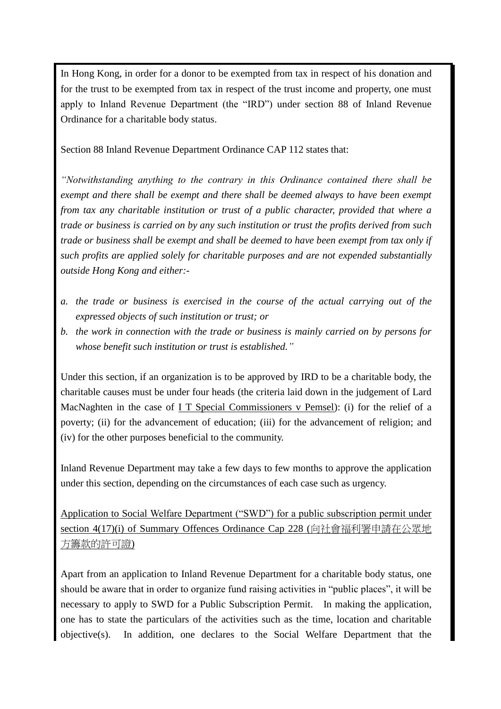In Hong Kong, in order for a donor to be exempted from tax in respect of his donation and for the trust to be exempted from tax in respect of the trust income and property, one must apply to Inland Revenue Department (the "IRD") under section 88 of Inland Revenue Ordinance for a charitable body status.

Section 88 Inland Revenue Department Ordinance CAP 112 states that:

*"Notwithstanding anything to the contrary in this Ordinance contained there shall be exempt and there shall be exempt and there shall be deemed always to have been exempt from tax any charitable institution or trust of a public character, provided that where a trade or business is carried on by any such institution or trust the profits derived from such trade or business shall be exempt and shall be deemed to have been exempt from tax only if such profits are applied solely for charitable purposes and are not expended substantially outside Hong Kong and either:-*

- *a. the trade or business is exercised in the course of the actual carrying out of the expressed objects of such institution or trust; or*
- *b. the work in connection with the trade or business is mainly carried on by persons for whose benefit such institution or trust is established."*

Under this section, if an organization is to be approved by IRD to be a charitable body, the charitable causes must be under four heads (the criteria laid down in the judgement of Lard MacNaghten in the case of I T Special Commissioners v Pemsel): (i) for the relief of a poverty; (ii) for the advancement of education; (iii) for the advancement of religion; and (iv) for the other purposes beneficial to the community.

Inland Revenue Department may take a few days to few months to approve the application under this section, depending on the circumstances of each case such as urgency.

Application to Social Welfare Department ("SWD") for a public subscription permit under section 4(17)(i) of Summary Offences Ordinance Cap 228 (向社會福利署申請在公眾地 方籌款的許可證)

Apart from an application to Inland Revenue Department for a charitable body status, one should be aware that in order to organize fund raising activities in "public places", it will be necessary to apply to SWD for a Public Subscription Permit. In making the application, one has to state the particulars of the activities such as the time, location and charitable objective(s). In addition, one declares to the Social Welfare Department that the